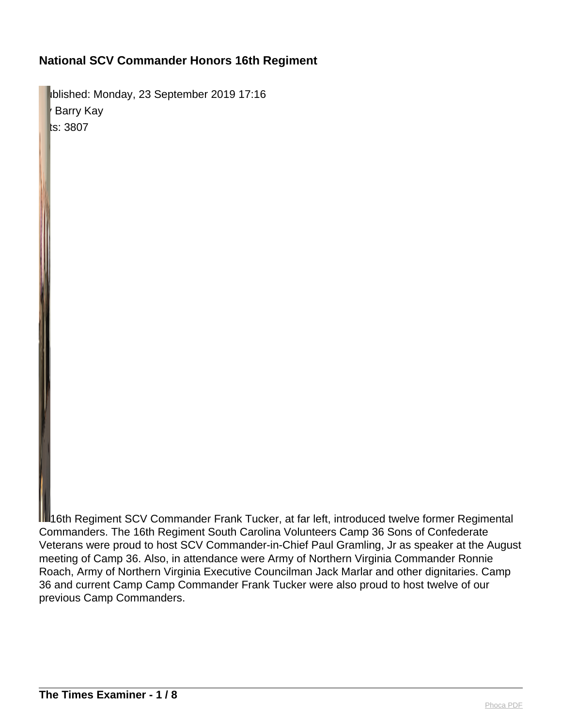Iblished: Monday, 23 September 2019 17:16 Barry Kay ts: 3807

**III**16th Regiment SCV Commander Frank Tucker, at far left, introduced twelve former Regimental Commanders. The 16th Regiment South Carolina Volunteers Camp 36 Sons of Confederate Veterans were proud to host SCV Commander-in-Chief Paul Gramling, Jr as speaker at the August meeting of Camp 36. Also, in attendance were Army of Northern Virginia Commander Ronnie Roach, Army of Northern Virginia Executive Councilman Jack Marlar and other dignitaries. Camp 36 and current Camp Camp Commander Frank Tucker were also proud to host twelve of our previous Camp Commanders.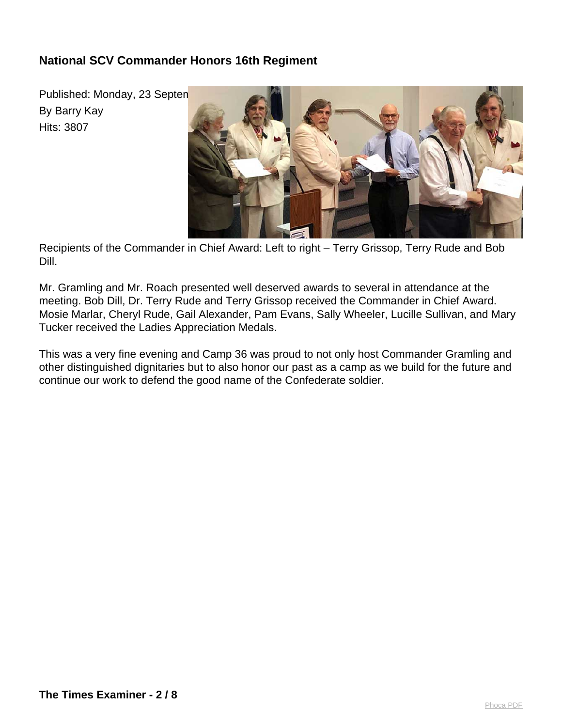Published: Monday, 23 Septen By Barry Kay Hits: 3807



Recipients of the Commander in Chief Award: Left to right – Terry Grissop, Terry Rude and Bob Dill.

Mr. Gramling and Mr. Roach presented well deserved awards to several in attendance at the meeting. Bob Dill, Dr. Terry Rude and Terry Grissop received the Commander in Chief Award. Mosie Marlar, Cheryl Rude, Gail Alexander, Pam Evans, Sally Wheeler, Lucille Sullivan, and Mary Tucker received the Ladies Appreciation Medals.

This was a very fine evening and Camp 36 was proud to not only host Commander Gramling and other distinguished dignitaries but to also honor our past as a camp as we build for the future and continue our work to defend the good name of the Confederate soldier.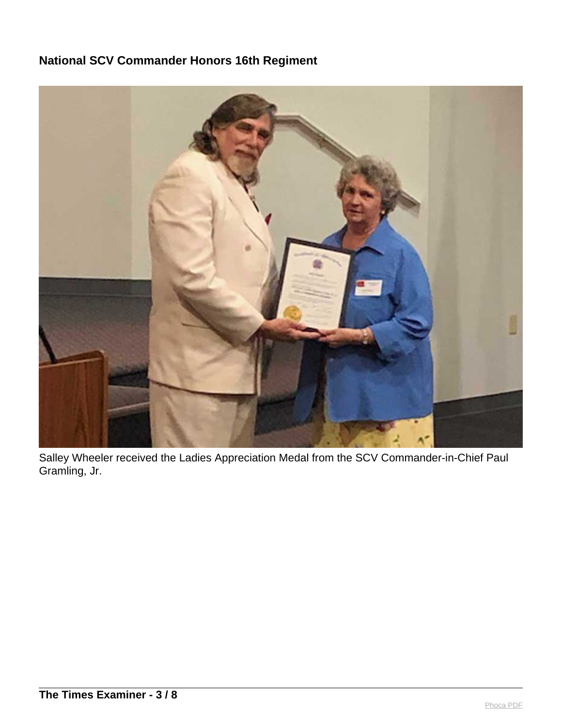

Salley Wheeler received the Ladies Appreciation Medal from the SCV Commander-in-Chief Paul Gramling, Jr.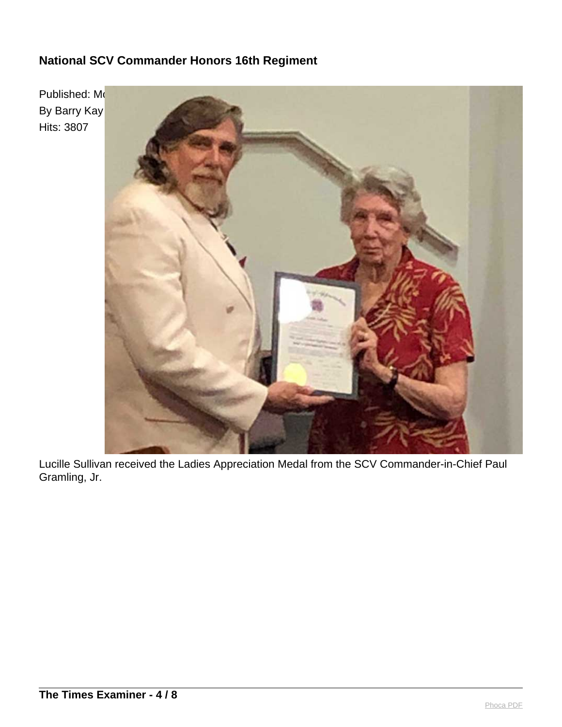

Lucille Sullivan received the Ladies Appreciation Medal from the SCV Commander-in-Chief Paul Gramling, Jr.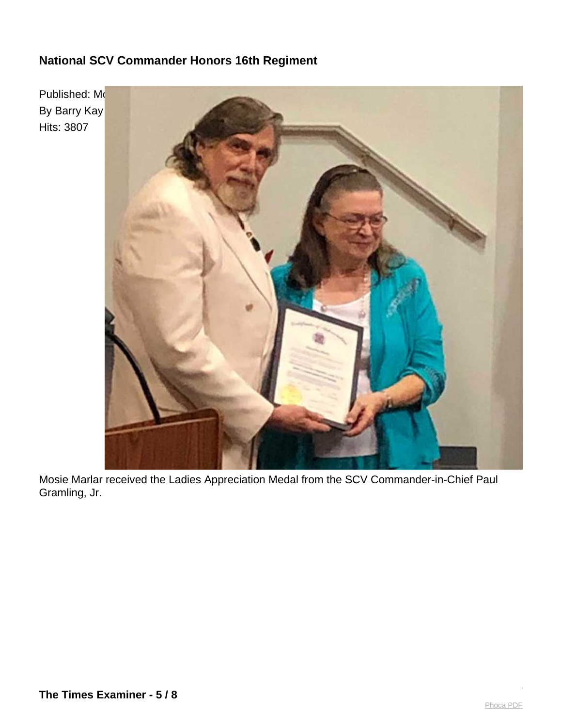

Mosie Marlar received the Ladies Appreciation Medal from the SCV Commander-in-Chief Paul Gramling, Jr.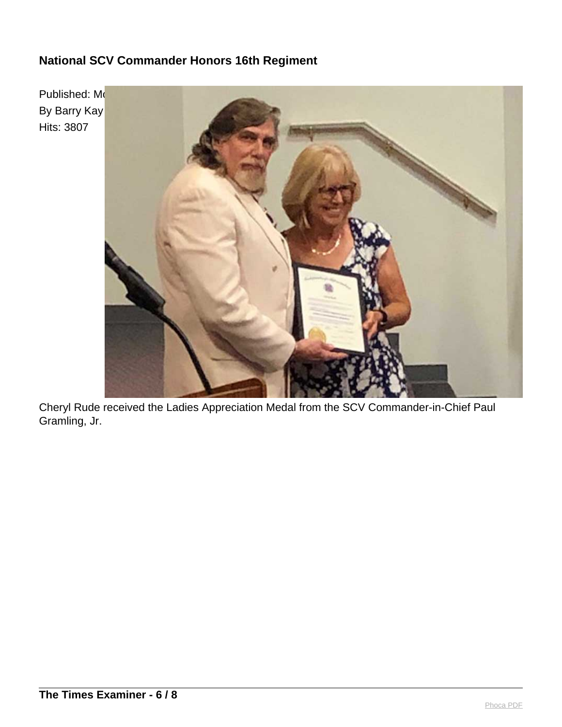

Cheryl Rude received the Ladies Appreciation Medal from the SCV Commander-in-Chief Paul Gramling, Jr.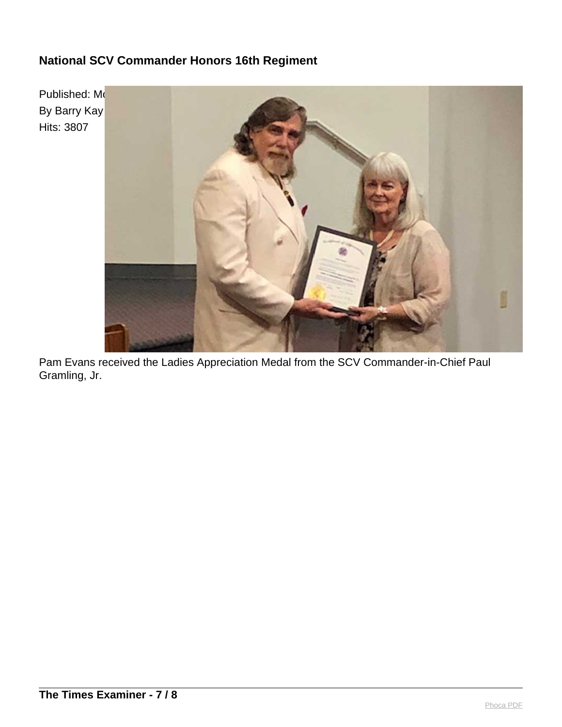

Pam Evans received the Ladies Appreciation Medal from the SCV Commander-in-Chief Paul Gramling, Jr.